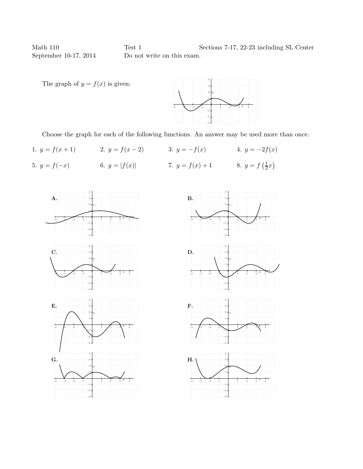Math 110 Test 1 Sections 7-17, 22-23 including SL Center September 10-17, 2014 Do not write on this exam.



Choose the graph for each of the following functions. An answer may be used more than once.

1.  $y = f(x+1)$  2.  $y = f(x-2)$  3.  $y = -f(x)$  4.  $y = -2f(x)$ 5.  $y = f(-x)$ <br>6.  $y = |f(x)|$ <br>7.  $y = f(x) + 1$ <br>8.  $y = f(\frac{1}{2})$  $\frac{1}{2}x)$ 



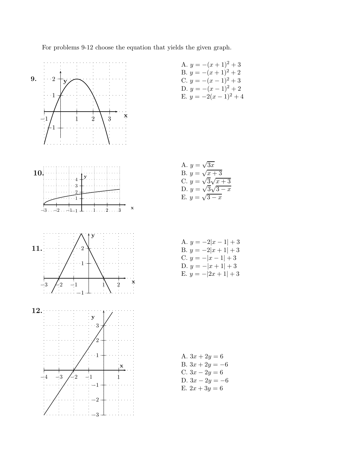For problems 9-12 choose the equation that yields the given graph.



A. 
$$
y = -(x + 1)^2 + 3
$$
  
\nB.  $y = -(x + 1)^2 + 2$   
\nC.  $y = -(x - 1)^2 + 3$   
\nD.  $y = -(x - 1)^2 + 2$   
\nE.  $y = -2(x - 1)^2 + 4$ 

A. 
$$
y = \sqrt{3x}
$$
\nB.  $y = \sqrt{x+3}$ \nC.  $y = \sqrt{3}\sqrt{x+3}$ \nD.  $y = \sqrt{3}\sqrt{3-x}$ \nE.  $y = \sqrt{3-x}$ 

A. 
$$
y = -2|x - 1| + 3
$$
  
\nB.  $y = -2|x + 1| + 3$   
\nC.  $y = -|x - 1| + 3$   
\nD.  $y = -|x + 1| + 3$   
\nE.  $y = -|2x + 1| + 3$ 

A.  $3x + 2y = 6$ B.  $3x + 2y = -6$ C.  $3x - 2y = 6$ D.  $3x - 2y = -6$ E.  $2x + 3y = 6$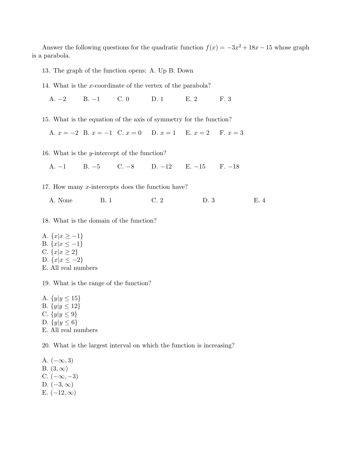Answer the following questions for the quadratic function  $f(x) = -3x^2 + 18x - 15$  whose graph is a parabola.

13. The graph of the function opens: A. Up B. Down

14. What is the x-coordinate of the vertex of the parabola?

A. −2 B. −1 C. 0 D. 1 E. 2 F. 3

15. What is the equation of the axis of symmetry for the function?

A.  $x = -2$  B.  $x = -1$  C.  $x = 0$  D.  $x = 1$  E.  $x = 2$  F.  $x = 3$ 

16. What is the y-intercept of the function?

A. −1 B. −5 C. −8 D. −12 E. −15 F. −18

17. How many x-intercepts does the function have?

A. None B. 1 C. 2 D. 3 E. 4

18. What is the domain of the function?

- A.  $\{x|x \geq -1\}$ B.  ${x|x ≤ -1}$ C.  $\{x | x \ge 2\}$ D.  $\{x|x \leq -2\}$
- E. All real numbers

19. What is the range of the function?

A.  $\{y|y \leq 15\}$ B.  $\{y|y \leq 12\}$ C.  $\{y|y \le 9\}$ D.  $\{y|y \leq 6\}$ E. All real numbers

20. What is the largest interval on which the function is increasing?

A.  $(-\infty, 3)$ B.  $(3, \infty)$ C.  $(-\infty, -3)$ D.  $(-3, \infty)$ E.  $(-12, \infty)$